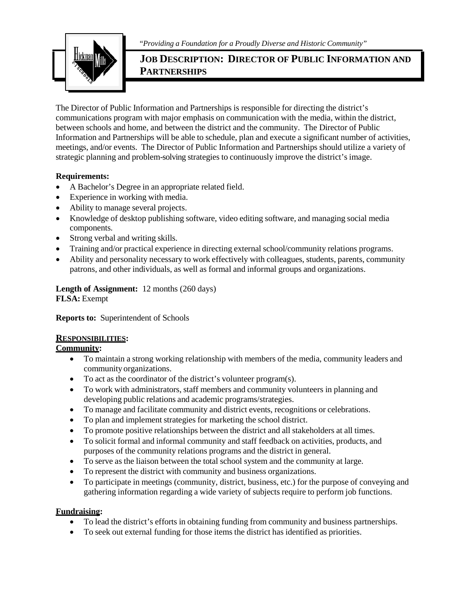"*Providing a Foundation for a Proudly Diverse and Historic Community"*



# **JOB DESCRIPTION: DIRECTOR OF PUBLIC INFORMATION AND PARTNERSHIPS**

The Director of Public Information and Partnerships is responsible for directing the district's communications program with major emphasis on communication with the media, within the district, between schools and home, and between the district and the community. The Director of Public Information and Partnerships will be able to schedule, plan and execute a significant number of activities, meetings, and/or events. The Director of Public Information and Partnerships should utilize a variety of strategic planning and problem-solving strategies to continuously improve the district's image.

#### **Requirements:**

- A Bachelor's Degree in an appropriate related field.
- Experience in working with media.
- Ability to manage several projects.
- Knowledge of desktop publishing software, video editing software, and managing social media components.
- Strong verbal and writing skills.
- Training and/or practical experience in directing external school/community relations programs.
- Ability and personality necessary to work effectively with colleagues, students, parents, community patrons, and other individuals, as well as formal and informal groups and organizations.

# **Length of Assignment:** 12 months (260 days) **FLSA:** Exempt

**Reports to:** Superintendent of Schools

#### **RESPONSIBILITIES:**

#### **Community:**

- To maintain a strong working relationship with members of the media, community leaders and community organizations.
- To act as the coordinator of the district's volunteer program(s).
- To work with administrators, staff members and community volunteers in planning and developing public relations and academic programs/strategies.
- To manage and facilitate community and district events, recognitions or celebrations.
- To plan and implement strategies for marketing the school district.
- To promote positive relationships between the district and all stakeholders at all times.
- To solicit formal and informal community and staff feedback on activities, products, and purposes of the community relations programs and the district in general.
- To serve as the liaison between the total school system and the community at large.
- To represent the district with community and business organizations.
- To participate in meetings (community, district, business, etc.) for the purpose of conveying and gathering information regarding a wide variety of subjects require to perform job functions.

#### **Fundraising:**

- To lead the district's efforts in obtaining funding from community and business partnerships.
- To seek out external funding for those items the district has identified as priorities.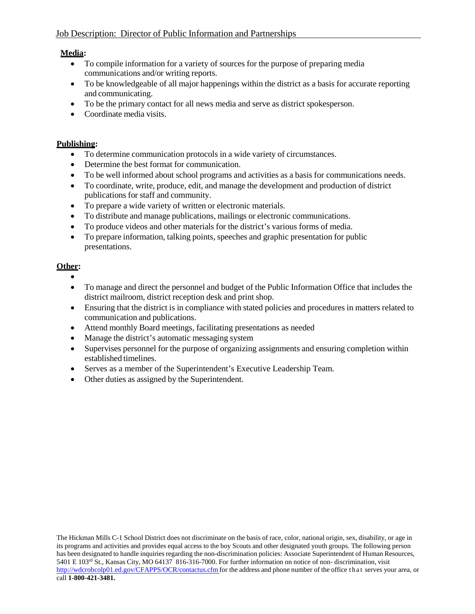# **Media:**

- To compile information for a variety of sources for the purpose of preparing media communications and/or writing reports.
- To be knowledgeable of all major happenings within the district as a basis for accurate reporting and communicating.
- To be the primary contact for all news media and serve as district spokesperson.
- Coordinate media visits.

### **Publishing:**

- To determine communication protocols in a wide variety of circumstances.
- Determine the best format for communication.
- To be well informed about school programs and activities as a basis for communications needs.
- To coordinate, write, produce, edit, and manage the development and production of district publications for staff and community.
- To prepare a wide variety of written or electronic materials.
- To distribute and manage publications, mailings or electronic communications.
- To produce videos and other materials for the district's various forms of media.
- To prepare information, talking points, speeches and graphic presentation for public presentations.

# **Other:**

- •
- To manage and direct the personnel and budget of the Public Information Office that includes the district mailroom, district reception desk and print shop.
- Ensuring that the district is in compliance with stated policies and procedures in matters related to communication and publications.
- Attend monthly Board meetings, facilitating presentations as needed
- Manage the district's automatic messaging system
- Supervises personnel for the purpose of organizing assignments and ensuring completion within established timelines.
- Serves as a member of the Superintendent's Executive Leadership Team.
- Other duties as assigned by the Superintendent.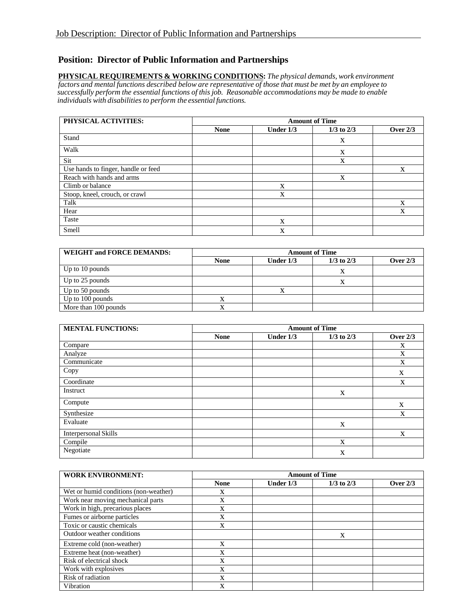# **Position: Director of Public Information and Partnerships**

**PHYSICAL REQUIREMENTS & WORKING CONDITIONS:** *The physical demands, work environment* factors and mental functions described below are representative of those that must be met by an employee to *successfully perform the essential functions of thisjob. Reasonable accommodations may be made to enable individuals with disabilitiesto perform the essential functions.*

| PHYSICAL ACTIVITIES:                | <b>Amount of Time</b> |           |                |            |
|-------------------------------------|-----------------------|-----------|----------------|------------|
|                                     | <b>None</b>           | Under 1/3 | $1/3$ to $2/3$ | Over $2/3$ |
| Stand                               |                       |           | X              |            |
| Walk                                |                       |           | X              |            |
| Sit                                 |                       |           | X              |            |
| Use hands to finger, handle or feed |                       |           |                | X          |
| Reach with hands and arms           |                       |           | X              |            |
| Climb or balance                    |                       | X         |                |            |
| Stoop, kneel, crouch, or crawl      |                       | X         |                |            |
| Talk                                |                       |           |                | X          |
| Hear                                |                       |           |                | X          |
| Taste                               |                       | X         |                |            |
| Smell                               |                       | X         |                |            |

| <b>WEIGHT and FORCE DEMANDS:</b> | <b>Amount of Time</b> |             |                |            |
|----------------------------------|-----------------------|-------------|----------------|------------|
|                                  | <b>None</b>           | Under $1/3$ | $1/3$ to $2/3$ | Over $2/3$ |
| Up to 10 pounds                  |                       |             | x              |            |
| Up to 25 pounds                  |                       |             | л              |            |
| Up to 50 pounds                  |                       |             |                |            |
| Up to 100 pounds                 |                       |             |                |            |
| More than 100 pounds             |                       |             |                |            |

| <b>MENTAL FUNCTIONS:</b>    | <b>Amount of Time</b> |             |                |            |
|-----------------------------|-----------------------|-------------|----------------|------------|
|                             | <b>None</b>           | Under $1/3$ | $1/3$ to $2/3$ | Over $2/3$ |
| Compare                     |                       |             |                | X          |
| Analyze                     |                       |             |                | X          |
| Communicate                 |                       |             |                | X          |
| Copy                        |                       |             |                | X          |
| Coordinate                  |                       |             |                | X          |
| Instruct                    |                       |             | $\mathbf X$    |            |
| Compute                     |                       |             |                | X          |
| Synthesize                  |                       |             |                | X          |
| Evaluate                    |                       |             | X              |            |
| <b>Interpersonal Skills</b> |                       |             |                | X          |
| Compile                     |                       |             | X              |            |
| Negotiate                   |                       |             | $\mathbf X$    |            |

| <b>WORK ENVIRONMENT:</b>              | <b>Amount of Time</b> |             |                |            |
|---------------------------------------|-----------------------|-------------|----------------|------------|
|                                       | <b>None</b>           | Under $1/3$ | $1/3$ to $2/3$ | Over $2/3$ |
| Wet or humid conditions (non-weather) | x                     |             |                |            |
| Work near moving mechanical parts     | X                     |             |                |            |
| Work in high, precarious places       | X                     |             |                |            |
| Fumes or airborne particles           | X                     |             |                |            |
| Toxic or caustic chemicals            | X                     |             |                |            |
| Outdoor weather conditions            |                       |             | X              |            |
| Extreme cold (non-weather)            | X                     |             |                |            |
| Extreme heat (non-weather)            | X                     |             |                |            |
| Risk of electrical shock              | X                     |             |                |            |
| Work with explosives                  | X                     |             |                |            |
| Risk of radiation                     | X                     |             |                |            |
| Vibration                             | X                     |             |                |            |